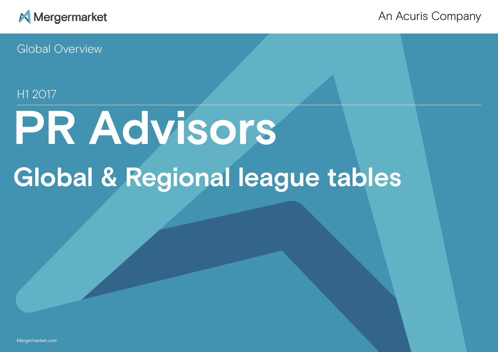

An Acuris Company

Global Overview

# H1 2017

# **PR Advisors Global & Regional league tables**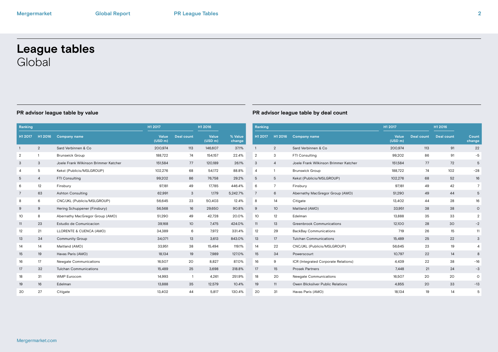# **League tables** Global

| Ranking        |                |                                       | H1 2017          |                   | H1 2016          |                   | Ranking         |                |             |
|----------------|----------------|---------------------------------------|------------------|-------------------|------------------|-------------------|-----------------|----------------|-------------|
| H1 2017        | H1 2016        | <b>Company name</b>                   | Value<br>(USD m) | <b>Deal count</b> | Value<br>(USD m) | % Value<br>change | H1 2017         | H1 2016        | Com         |
| $\overline{1}$ | $\overline{2}$ | Sard Verbinnen & Co.                  | 200,974          | 113               | 146,607          | 37.1%             | $\mathbf{1}$    | $\overline{2}$ | Sard        |
| $\overline{2}$ | $\mathbf{1}$   | <b>Brunswick Group</b>                | 188,722          | 74                | 154,157          | 22.4%             | $\overline{2}$  | 3              | FTI C       |
| 3              | 3              | Joele Frank Wilkinson Brimmer Katcher | 151,584          | 77                | 120,189          | 26.1%             | 3               | $\overline{4}$ | Joele       |
| $\overline{4}$ | 5              | Kekst (Publicis/MSLGROUP)             | 102,276          | 68                | 54,172           | 88.8%             | $\overline{4}$  | $\mathbf{1}$   | <b>Brun</b> |
| 5              | $\overline{4}$ | FTI Consulting                        | 99,202           | 86                | 76,758           | 29.2%             | 5               | 5              | Keks        |
| 6              | 12             | Finsbury                              | 97,181           | 49                | 17,785           | 446.4%            | 6               | $\overline{7}$ | Finst       |
| 7              | 63             | <b>Ashton Consulting</b>              | 62,991           | 3                 | 1,179            | 5,242.7%          | $\overline{7}$  | 6              | Aber        |
| 8              | 6              | CNC/JKL (Publicis/MSLGROUP)           | 56,645           | 23                | 50,403           | 12.4%             | 8               | 14             | Citig       |
| 9              | 9              | Hering Schuppener (Finsbury)          | 56,568           | 16                | 29,650           | 90.8%             | 9               | 10             | Maitl       |
| 10             | 8              | Abernathy MacGregor Group (AMO)       | 51,290           | 49                | 42,728           | 20.0%             | 10 <sup>°</sup> | 12             | Edelr       |
| 11             | 23             | Estudio de Comunicacion               | 39,168           | 10                | 7,475            | 424.0%            | 11              | 13             | Gree        |
| 12             | 21             | LLORENTE & CUENCA (AMO)               | 34,389           | 6                 | 7,972            | 331.4%            | 12              | 29             | Back        |
| 13             | 34             | Community Group                       | 34,071           | 13                | 3,613            | 843.0%            | 13              | 17             | Tulch       |
| 14             | 14             | Maitland (AMO)                        | 33,951           | 38                | 15,494           | 119.1%            | 14              | 22             | CNC         |
| 15             | 19             | Havas Paris (AMO)                     | 18,134           | 19                | 7,989            | 127.0%            | 15              | 34             | Powe        |
| 16             | 17             | Newgate Communications                | 16,507           | 20                | 8,827            | 87.0%             | 16              | 9              | ICR (       |
| 17             | 32             | <b>Tulchan Communications</b>         | 15,489           | 25                | 3,698            | 318.8%            | 17              | 15             | Pros        |
| 18             | 31             | <b>WMP Eurocom</b>                    | 14,993           | $\mathbf{1}$      | 4,261            | 251.9%            | 18              | 20             | Newg        |
| 19             | 16             | Edelman                               | 13,888           | 35                | 12,579           | 10.4%             | 19              | 11             | Ower        |
| 20             | 27             | Citigate                              | 13,402           | 44                | 5,817            | 130.4%            | 20              | 31             | Hava        |
|                |                |                                       |                  |                   |                  |                   |                 |                |             |

| Ranking        |                  |                                       | H1 2017          |                   | H1 2016           |                 |
|----------------|------------------|---------------------------------------|------------------|-------------------|-------------------|-----------------|
| H1 2017        | H1 2016          | <b>Company name</b>                   | Value<br>(USD m) | <b>Deal count</b> | <b>Deal count</b> | Count<br>change |
| $\mathbf{1}$   | 2                | Sard Verbinnen & Co.                  | 200,974          | 113               | 91                | 22              |
| $\overline{2}$ | 3                | FTI Consulting                        | 99,202           | 86                | 91                | $-5$            |
| 3              | $\overline{4}$   | Joele Frank Wilkinson Brimmer Katcher | 151,584          | 77                | 72                | 5               |
| 4              | 1                | <b>Brunswick Group</b>                | 188,722          | 74                | 102               | $-28$           |
| 5              | 5                | Kekst (Publicis/MSLGROUP)             | 102,276          | 68                | 52                | 16              |
| 6              | $\overline{7}$   | Finsbury                              | 97,181           | 49                | 42                | 7               |
| 7              | 6                | Abernathy MacGregor Group (AMO)       | 51,290           | 49                | 44                | 5               |
| 8              | 14               | Citigate                              | 13,402           | 44                | 28                | 16              |
| 9              | 10               | Maitland (AMO)                        | 33,951           | 38                | 38                | $\circ$         |
| 10             | 12               | Edelman                               | 13,888           | 35                | 33                | $\overline{2}$  |
| 11             | 13               | Greenbrook Communications             | 12,100           | 28                | 30                | $-2$            |
| 12             | 29               | <b>BackBay Communications</b>         | 719              | 26                | 15                | 11              |
| 13             | 17               | <b>Tulchan Communications</b>         | 15,489           | 25                | 22                | 3               |
| 14             | 22               | CNC/JKL (Publicis/MSLGROUP)           | 56,645           | 23                | 19                | 4               |
| 15             | 34               | Powerscourt                           | 10,797           | 22                | 14                | 8               |
| 16             | $\boldsymbol{9}$ | ICR (Integrated Corporate Relations)  | 4,439            | 22                | 38                | $-16$           |
| 17             | 15               | <b>Prosek Partners</b>                | 7,448            | 21                | 24                | -3              |
| 18             | 20               | Newgate Communications                | 16,507           | 20                | 20                | $\circ$         |
| 19             | 11               | Owen Blicksilver Public Relations     | 4,855            | 20                | 33                | $-13$           |
| 20             | 31               | Havas Paris (AMO)                     | 18,134           | 19                | 14                | 5               |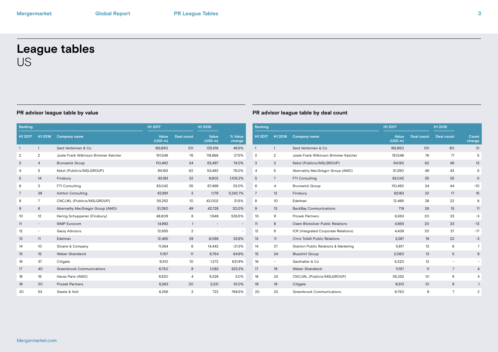# **League tables** US

| Ranking        |                          |                                       | H1 2017          |                   | H1 2016          |                          | Ranking        |                          |                |
|----------------|--------------------------|---------------------------------------|------------------|-------------------|------------------|--------------------------|----------------|--------------------------|----------------|
| H1 2017        | H1 2016                  | <b>Company name</b>                   | Value<br>(USD m) | <b>Deal count</b> | Value<br>(USD m) | % Value<br>change        | H1 2017        | H1 2016                  | $\mathbf C$    |
| $\mathbf{1}$   | $\mathbf{1}$             | Sard Verbinnen & Co.                  | 183,850          | 101               | 125,516          | 46.5%                    | $\mathbf{1}$   | $\mathbf{1}$             | $S_6$          |
| $\overline{2}$ | 2                        | Joele Frank Wilkinson Brimmer Katcher | 151,546          | 76                | 118,868          | 27.5%                    | $\overline{2}$ | $\overline{2}$           | Jc             |
| 3              | $\overline{4}$           | <b>Brunswick Group</b>                | 110,462          | 34                | 63,497           | 74.0%                    | 3              | 3                        | Kε             |
| 4              | 5                        | Kekst (Publicis/MSLGROUP)             | 94,163           | 62                | 53,492           | 76.0%                    | 4              | 5                        | A              |
| 5              | 14                       | Finsbury                              | 83,183           | 32                | 6,902            | 1,105.2%                 | 5              | $\overline{7}$           | F              |
| 6              | 3                        | FTI Consulting                        | 83,042           | 35                | 67,499           | 23.0%                    | 6              | 4                        | Bı             |
| $\overline{7}$ | 38                       | <b>Ashton Consulting</b>              | 62,991           | 3                 | 1,179            | 5,242.7%                 | $\overline{7}$ | 12                       | Fi             |
| 8              | $7\overline{ }$          | CNC/JKL (Publicis/MSLGROUP)           | 55,252           | 10                | 42,002           | 31.5%                    | 8              | 10                       | E              |
| 9              | 6                        | Abernathy MacGregor Group (AMO)       | 51,290           | 49                | 42,728           | 20.0%                    | 9              | 13                       | B              |
| 10             | 12                       | Hering Schuppener (Finsbury)          | 48,609           | 8                 | 7,649            | 535.5%                   | 10             | 9                        | P <sub>1</sub> |
| 11             | $\overline{\phantom{a}}$ | <b>WMP Eurocom</b>                    | 14,993           | $\mathbf{1}$      |                  |                          | 11             | 8                        | $\circ$        |
| 12             | $\overline{\phantom{a}}$ | <b>Gauly Advisors</b>                 | 12,655           | $\overline{2}$    | ٠                | $\overline{\phantom{a}}$ | 12             | 6                        | IC             |
| 13             | 11                       | Edelman                               | 12,465           | 28                | 8,098            | 53.9%                    | 13             | 11                       | $\mathsf{C}$   |
| 14             | 10                       | Sloane & Company                      | 11,364           | 6                 | 14,442           | $-21.3%$                 | 14             | 27                       | S <sub>1</sub> |
| 15             | 15                       | Weber Shandwick                       | 11,157           | 11                | 6,764            | 64.9%                    | 15             | 34                       | BI             |
| 16             | 37                       | Citigate                              | 9,310            | 10                | 1,272            | 631.9%                   | 16             | $\overline{\phantom{0}}$ | G              |
| 17             | 40                       | Greenbrook Communications             | 6,750            | 9                 | 1,083            | 523.3%                   | 17             | 19                       | W              |
| 18             | 16                       | Havas Paris (AMO)                     | 6,520            | $\overline{4}$    | 6,328            | 3.0%                     | 18             | 24                       | C              |
| 19             | 20                       | <b>Prosek Partners</b>                | 6,363            | 20                | 3,331            | 91.0%                    | 19             | 16                       | C              |
| 20             | 53                       | Steele & Holt                         | 6,256            | 3                 | 722              | 766.5%                   | 20             | 23                       | G              |
|                |                          |                                       |                  |                   |                  |                          |                |                          |                |

| Ranking        |                |                                       | H1 2017          |                   | H1 2016                  |                 |
|----------------|----------------|---------------------------------------|------------------|-------------------|--------------------------|-----------------|
| H1 2017        | H1 2016        | <b>Company name</b>                   | Value<br>(USD m) | <b>Deal count</b> | <b>Deal count</b>        | Count<br>change |
| $\mathbf{1}$   | $\mathbf{1}$   | Sard Verbinnen & Co.                  | 183,850          | 101               | 80                       | 21              |
| $\overline{2}$ | $\overline{2}$ | Joele Frank Wilkinson Brimmer Katcher | 151,546          | 76                | 71                       | 5               |
| 3              | 3              | Kekst (Publicis/MSLGROUP)             | 94,163           | 62                | 49                       | 13              |
| 4              | 5              | Abernathy MacGregor Group (AMO)       | 51,290           | 49                | 43                       | 6               |
| 5              | $\overline{7}$ | FTI Consulting                        | 83,042           | 35                | 35                       | 0               |
| 6              | 4              | <b>Brunswick Group</b>                | 110,462          | 34                | 44                       | $-10$           |
| 7              | 12             | Finsbury                              | 83,183           | 32                | 17                       | 15              |
| 8              | 10             | Edelman                               | 12,465           | 28                | 22                       | 6               |
| 9              | 13             | <b>BackBay Communications</b>         | 719              | 26                | 15                       | 11              |
| 10             | 9              | <b>Prosek Partners</b>                | 6,363            | 20                | 23                       | $-3$            |
| 11             | 8              | Owen Blicksilver Public Relations     | 4,855            | 20                | 33                       | $-13$           |
| 12             | 6              | ICR (Integrated Corporate Relations)  | 4,439            | 20                | 37                       | $-17$           |
| 13             | 11             | Chris Tofalli Public Relations        | 3,287            | 19                | 22                       | $-3$            |
| 14             | 27             | Stanton Public Relations & Marketing  | 5,817            | 13                | 6                        | 7               |
| 15             | 34             | <b>Blueshirt Group</b>                | 2,060            | 13                | 5                        | 8               |
| 16             | ۰              | Gasthalter & Co.                      | 5.320            | 12                | $\overline{\phantom{a}}$ |                 |
| 17             | 19             | Weber Shandwick                       | 11,157           | 11                | $7\overline{ }$          | 4               |
| 18             | 24             | CNC/JKL (Publicis/MSLGROUP)           | 55,252           | 10 <sup>°</sup>   | 6                        | 4               |
| 19             | 16             | Citigate                              | 9,310            | 10                | 9                        | $\mathbf{1}$    |
| 20             | 23             | Greenbrook Communications             | 6,750            | 9                 | 7                        | 2               |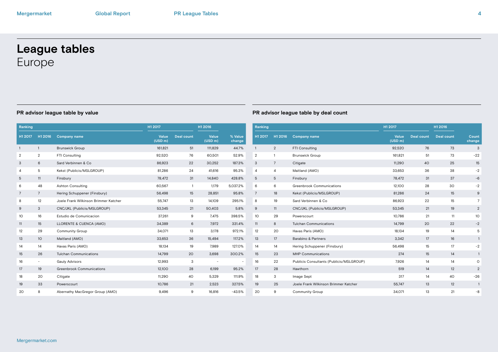# **League tables** Europe

| H1 2016<br>H1 2017<br>$\overline{1}$<br>$\overline{2}$<br>6<br>5<br>11 | <b>Company name</b><br><b>Brunswick Group</b><br>FTI Consulting<br>Sard Verbinnen & Co |                                       | Value<br>(USD m)<br>161,821<br>92,520 | <b>Deal count</b><br>51 | Value<br>(USD m)<br>111,829 | % Value<br>change<br>44.7% | H1 2017<br>$\mathbf{1}$ | H1 2016        | <b>Company name</b>    |
|------------------------------------------------------------------------|----------------------------------------------------------------------------------------|---------------------------------------|---------------------------------------|-------------------------|-----------------------------|----------------------------|-------------------------|----------------|------------------------|
|                                                                        |                                                                                        |                                       |                                       |                         |                             |                            |                         |                |                        |
|                                                                        |                                                                                        |                                       |                                       |                         |                             |                            |                         | $\overline{2}$ | FTI Consulting         |
|                                                                        |                                                                                        |                                       |                                       | 76                      | 60,501                      | 52.9%                      | $\overline{2}$          | 1              | <b>Brunswick Group</b> |
|                                                                        |                                                                                        |                                       | 86,923                                | 22                      | 30,252                      | 187.3%                     | 3                       | 7              | Citigate               |
|                                                                        |                                                                                        | Kekst (Publicis/MSLGROUP)             | 81,286                                | 24                      | 41,616                      | 95.3%                      | 4                       | 4              | Maitland (AMO)         |
|                                                                        | Finsbury                                                                               |                                       | 78,472                                | 31                      | 14,840                      | 428.8%                     | 5                       | 5              | Finsbury               |
| 48                                                                     | <b>Ashton Consulting</b>                                                               |                                       | 60,567                                | $\overline{1}$          | 1,179                       | 5,037.2%                   | 6                       | 6              | Greenbrook Com         |
| $7\overline{ }$                                                        |                                                                                        | Hering Schuppener (Finsbury)          | 56,498                                | 15                      | 28,851                      | 95.8%                      | 7                       | 18             | Kekst (Publicis/M      |
| 12                                                                     |                                                                                        | Joele Frank Wilkinson Brimmer Katcher | 55,747                                | 13                      | 14,109                      | 295.1%                     | 8                       | 19             | Sard Verbinnen &       |
| 3                                                                      |                                                                                        | CNC/JKL (Publicis/MSLGROUP)           | 53,345                                | 21                      | 50,403                      | 5.8%                       | 9                       | 11             | CNC/JKL (Public        |
| 16                                                                     | Estudio de Comunicacion                                                                |                                       | 37,261                                | 9                       | 7,475                       | 398.5%                     | 10                      | 29             | Powerscourt            |
| 15                                                                     | LLORENTE & CUENCA (AMO)                                                                |                                       | 34,389                                | 6                       | 7,972                       | 331.4%                     | 11                      | 8              | Tulchan Commur         |
| 29                                                                     | <b>Community Group</b>                                                                 |                                       | 34,071                                | 13                      | 3,178                       | 972.1%                     | 12                      | 20             | Havas Paris (AMO       |
| 10                                                                     | Maitland (AMO)                                                                         |                                       | 33,653                                | 36                      | 15,494                      | 117.2%                     | 13                      | 17             | Barabino & Partn       |
| 14                                                                     | Havas Paris (AMO)                                                                      |                                       | 18,134                                | 19                      | 7,989                       | 127.0%                     | 14                      | 14             | Hering Schupper        |
| 26                                                                     | <b>Tulchan Communications</b>                                                          |                                       | 14,799                                | 20                      | 3,698                       | 300.2%                     | 15                      | 23             | MHP Communica          |
| $\overline{\phantom{a}}$                                               | Gauly Advisors                                                                         |                                       | 12,993                                | 3                       |                             |                            | 16                      | 22             | Publicis Consulta      |
| 19                                                                     | <b>Greenbrook Communications</b>                                                       |                                       | 12,100                                | 28                      | 6,199                       | 95.2%                      | 17                      | 28             | Hawthorn               |
| 20                                                                     | Citigate                                                                               |                                       | 11,290                                | 40                      | 5,329                       | 111.9%                     | 18                      | 3              | Image Sept             |
| 33                                                                     | Powerscourt                                                                            |                                       | 10,786                                | 21                      | 2,523                       | 327.5%                     | 19                      | 25             | Joele Frank Wilki      |
| 8                                                                      |                                                                                        | Abernathy MacGregor Group (AMO)       | 9,496                                 | 9                       | 16,816                      | $-43.5%$                   | 20                      | 9              | Community Grou         |
|                                                                        |                                                                                        |                                       |                                       |                         |                             |                            |                         |                |                        |

| Ranking         |                |                                          | H1 2017          |                   | H1 2016           |                  |
|-----------------|----------------|------------------------------------------|------------------|-------------------|-------------------|------------------|
| H1 2017         | H1 2016        | <b>Company name</b>                      | Value<br>(USD m) | <b>Deal count</b> | <b>Deal count</b> | Count<br>change  |
| $\mathbf{1}$    | 2              | FTI Consulting                           | 92,520           | 76                | 73                | 3                |
| $\overline{2}$  | $\mathbf{1}$   | <b>Brunswick Group</b>                   | 161,821          | 51                | 73                | $-22$            |
| 3               | $\overline{7}$ | Citigate                                 | 11,290           | 40                | 25                | 15               |
| $\overline{4}$  | 4              | Maitland (AMO)                           | 33,653           | 36                | 38                | $-2$             |
| 5               | 5              | Finsbury                                 | 78,472           | 31                | 37                | $-6$             |
| 6               | 6              | Greenbrook Communications                | 12,100           | 28                | 30                | $-2$             |
| $\overline{7}$  | 18             | Kekst (Publicis/MSLGROUP)                | 81,286           | 24                | 15                | $\boldsymbol{9}$ |
| 8               | 19             | Sard Verbinnen & Co.                     | 86,923           | 22                | 15                | $\overline{7}$   |
| 9               | 11             | CNC/JKL (Publicis/MSLGROUP)              | 53,345           | 21                | 19                | 2                |
| 10 <sup>1</sup> | 29             | Powerscourt                              | 10,786           | 21                | 11                | 10               |
| 11              | 8              | <b>Tulchan Communications</b>            | 14,799           | 20                | 22                | $-2$             |
| 12              | 20             | Havas Paris (AMO)                        | 18,134           | 19                | 14                | 5                |
| 13              | 17             | <b>Barabino &amp; Partners</b>           | 3,342            | 17                | 16                | $\mathbf{1}$     |
| 14              | 14             | Hering Schuppener (Finsbury)             | 56,498           | 15                | 17                | $-2$             |
| 15              | 23             | <b>MHP Communications</b>                | 274              | 15                | 14                | $\overline{1}$   |
| 16              | 22             | Publicis Consultants (Publicis/MSLGROUP) | 7.926            | 14                | 14                | $\circ$          |
| 17              | 28             | Hawthorn                                 | 519              | 14                | 12                | 2                |
| 18              | 3              | Image Sept                               | 317              | 14                | 40                | $-26$            |
| 19              | 25             | Joele Frank Wilkinson Brimmer Katcher    | 55,747           | 13                | 12                | $\mathbf{1}$     |
| 20              | 9              | <b>Community Group</b>                   | 34,071           | 13                | 21                | $-8$             |
|                 |                |                                          |                  |                   |                   |                  |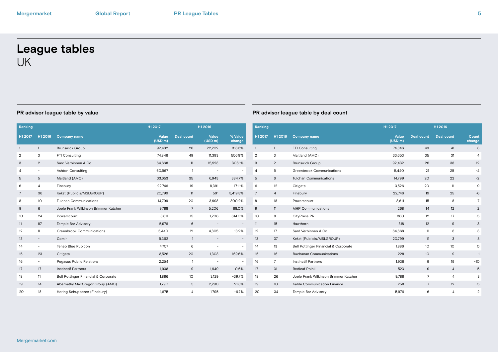# **League tables** UK

| Ranking         |                          |                                       | H1 2017          |                   | H1 2016          |                          | Ranking         |                 |                |
|-----------------|--------------------------|---------------------------------------|------------------|-------------------|------------------|--------------------------|-----------------|-----------------|----------------|
| H1 2017         | H1 2016                  | <b>Company name</b>                   | Value<br>(USD m) | <b>Deal count</b> | Value<br>(USD m) | % Value<br>change        | H1 2017         | H1 2016         | C <sub>0</sub> |
| $\mathbf{1}$    | $\mathbf{1}$             | <b>Brunswick Group</b>                | 92,432           | 26                | 22,202           | 316.3%                   | $\mathbf{1}$    | $\mathbf{1}$    | FT             |
| $\overline{2}$  | 3                        | FTI Consulting                        | 74,846           | 49                | 11,393           | 556.9%                   | $\overline{2}$  | 3               | M              |
| 3               | $\overline{2}$           | Sard Verbinnen & Co.                  | 64,668           | 11                | 15,923           | 306.1%                   | 3               | $\overline{2}$  | Br             |
| 4               | $\sim$                   | <b>Ashton Consulting</b>              | 60,567           | $\mathbf{1}$      | ÷                |                          | 4               | 5               | Gr             |
| 5               | 5                        | Maitland (AMO)                        | 33,653           | 35                | 6,943            | 384.7%                   | 5               | 6               | Tu             |
| 6               | 4                        | Finsbury                              | 22,746           | 19                | 8,391            | 171.1%                   | 6               | 12              | Ci             |
| $7\overline{ }$ | 36                       | Kekst (Publicis/MSLGROUP)             | 20,799           | 11                | 591              | 3,419.3%                 | $\overline{7}$  | $\overline{4}$  | Fir            |
| 8               | 10                       | <b>Tulchan Communications</b>         | 14,799           | 20                | 3,698            | 300.2%                   | 8               | 18              | Po             |
| 9               | 6                        | Joele Frank Wilkinson Brimmer Katcher | 9,788            | 7                 | 5,206            | 88.0%                    | 9               | 11              | M              |
| 10 <sup>°</sup> | 24                       | Powerscourt                           | 8,611            | 15                | 1,206            | 614.0%                   | 10 <sup>°</sup> | 8               | Ci             |
| 11              | 87                       | Temple Bar Advisory                   | 5,976            | 6                 |                  |                          | 11              | 15              | $H\varepsilon$ |
| 12              | 8                        | Greenbrook Communications             | 5,440            | 21                | 4,805            | 13.2%                    | 12              | 17              | $S\epsilon$    |
| 13              | $\overline{\phantom{a}}$ | Comir                                 | 5,362            | $\mathbf{1}$      |                  | $\overline{\phantom{a}}$ | 13              | 37              | Ke             |
| 14              | $\sim$                   | Teneo Blue Rubicon                    | 4.757            | 6                 | ÷                | $\overline{\phantom{a}}$ | 14              | 13              | Be             |
| 15              | 23                       | Citigate                              | 3,526            | 20                | 1,308            | 169.6%                   | 15              | 16              | Bι             |
| 16              |                          | Pegasus Public Relations              | 2,254            | $\mathbf{1}$      | ÷                | $\overline{\phantom{a}}$ | 16              | $\overline{7}$  | In:            |
| 17              | 17                       | <b>Instinctif Partners</b>            | 1,938            | 9                 | 1,949            | $-0.6%$                  | 17              | 31              | Re             |
| 18              | 11                       | Bell Pottinger Financial & Corporate  | 1,886            | 10                | 3,129            | $-39.7%$                 | 18              | 26              | Jc             |
| 19              | 14                       | Abernathy MacGregor Group (AMO)       | 1,790            | 5                 | 2,290            | $-21.8%$                 | 19              | 10 <sup>°</sup> | Kε             |
| 20              | 18                       | Hering Schuppener (Finsbury)          | 1,675            | 4                 | 1,795            | $-6.7%$                  | 20              | 34              | Te             |

| Ranking        |                |                                       | H1 2017          |                   | H1 2016           |                 |
|----------------|----------------|---------------------------------------|------------------|-------------------|-------------------|-----------------|
| H1 2017        | H1 2016        | <b>Company name</b>                   | Value<br>(USD m) | <b>Deal count</b> | <b>Deal count</b> | Count<br>change |
| $\mathbf{1}$   | $\mathbf{1}$   | FTI Consulting                        | 74,846           | 49                | 41                | 8               |
| $\overline{2}$ | 3              | Maitland (AMO)                        | 33,653           | 35                | 31                | 4               |
| 3              | 2              | <b>Brunswick Group</b>                | 92,432           | 26                | 38                | $-12$           |
| 4              | 5              | Greenbrook Communications             | 5,440            | 21                | 25                | $-4$            |
| 5              | 6              | <b>Tulchan Communications</b>         | 14,799           | 20                | 22                | $-2$            |
| 6              | 12             | Citigate                              | 3,526            | 20                | 11                | 9               |
| $\overline{7}$ | $\overline{4}$ | Finsbury                              | 22,746           | 19                | 25                | $-6$            |
| 8              | 18             | Powerscourt                           | 8,611            | 15                | 8                 | $\overline{7}$  |
| 9              | 11             | <b>MHP Communications</b>             | 268              | 14                | 12                | 2               |
| 10             | 8              | CityPress PR                          | 360              | 12                | 17                | $-5$            |
| 11             | 15             | Hawthorn                              | 318              | 12                | 9                 | 3               |
| 12             | 17             | Sard Verbinnen & Co.                  | 64,668           | 11                | 8                 | 3               |
| 13             | 37             | Kekst (Publicis/MSLGROUP)             | 20,799           | 11                | 3                 | 8               |
| 14             | 13             | Bell Pottinger Financial & Corporate  | 1,886            | 10                | 10                | O               |
| 15             | 16             | <b>Buchanan Communications</b>        | 228              | 10                | 9                 | $\mathbf{1}$    |
| 16             | $\overline{7}$ | <b>Instinctif Partners</b>            | 1,938            | 9                 | 19                | $-10$           |
| 17             | 31             | <b>Redleaf Polhill</b>                | 523              | $9\,$             | $\overline{4}$    | 5               |
| 18             | 26             | Joele Frank Wilkinson Brimmer Katcher | 9,788            | 7                 | $\overline{4}$    | 3               |
| 19             | 10             | Kable Communication Finance           | 258              | $\overline{7}$    | 12                | $-5$            |
| 20             | 34             | Temple Bar Advisory                   | 5,976            | 6                 | 4                 | $\overline{2}$  |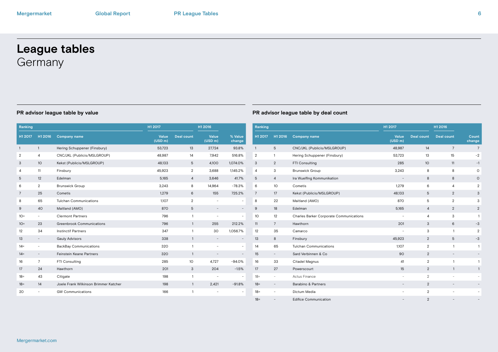# **League tables Germany**

| Ranking        |                          |                                       | H1 2017          |                   | H1 2016          |                          | R              |
|----------------|--------------------------|---------------------------------------|------------------|-------------------|------------------|--------------------------|----------------|
| H1 2017        | H1 2016                  | <b>Company name</b>                   | Value<br>(USD m) | <b>Deal count</b> | Value<br>(USD m) | % Value<br>change        | Н              |
| $\mathbf{1}$   | $\mathbf{1}$             | Hering Schuppener (Finsbury)          | 53,723           | 13                | 27,724           | 93.8%                    | $\mathbf{1}$   |
| $\overline{2}$ | 4                        | CNC/JKL (Publicis/MSLGROUP)           | 48,987           | 14                | 7,942            | 516.8%                   | $\overline{2}$ |
| 3              | 10                       | Kekst (Publicis/MSLGROUP)             | 48,133           | 5                 | 4,100            | 1,074.0%                 | 3              |
| 4              | 11                       | Finsbury                              | 45,923           | $\overline{2}$    | 3,688            | 1,145.2%                 | 4              |
| 5              | 12                       | Edelman                               | 5,165            | $\overline{4}$    | 3,646            | 41.7%                    | 5              |
| 6              | $\overline{2}$           | <b>Brunswick Group</b>                | 3,243            | 8                 | 14,964           | $-78.3%$                 | 6              |
| $\overline{7}$ | 25                       | Cometis                               | 1.279            | 6                 | 155              | 725.2%                   | 7              |
| 8              | 65                       | <b>Tulchan Communications</b>         | 1.107            | $\overline{2}$    | ÷                | ٠                        | 8              |
| 9              | 40                       | Maitland (AMO)                        | 870              | 5                 |                  |                          | 9              |
| $10 =$         | -                        | <b>Clermont Partners</b>              | 796              | 1                 | ۰                | $\overline{\phantom{a}}$ | 1 <sup>1</sup> |
| $10 =$         | 23                       | Greenbrook Communications             | 796              | $\mathbf{1}$      | 255              | 212.2%                   | 1              |
| 12             | 34                       | <b>Instinctif Partners</b>            | 347              | 1                 | 30               | 1,056.7%                 | 1              |
| 13             | $\overline{\phantom{a}}$ | <b>Gauly Advisors</b>                 | 338              | $\mathbf{1}$      |                  |                          | 1              |
| $14 =$         | -                        | <b>BackBay Communications</b>         | 320              | 1                 | ۰                | $\overline{\phantom{a}}$ | 1.             |
| $14 =$         | $\qquad \qquad -$        | Feinstein Keane Partners              | 320              | $\mathbf{1}$      |                  |                          | 1              |
| 16             | $\overline{7}$           | FTI Consulting                        | 285              | 10 <sup>°</sup>   | 4,727            | $-94.0%$                 | $\mathbf{1}$   |
| 17             | 24                       | Hawthorn                              | 201              | 3                 | 204              | $-1.5%$                  | $\mathbf{1}$   |
| $18 =$         | 43                       | Citigate                              | 198              | $\mathbf{1}$      |                  |                          | $\mathcal{U}$  |
| $18 =$         | 14                       | Joele Frank Wilkinson Brimmer Katcher | 198              | $\mathbf{1}$      | 2,421            | $-91.8%$                 | 1              |
| 20             |                          | <b>GW Communications</b>              | 166              | 1                 |                  | $\overline{\phantom{m}}$ | $\mathbf{1}$   |
|                |                          |                                       |                  |                   |                  |                          |                |

| <u>Ranking</u> |                          |                                         | H1 2017                  |                   | H1 2016                  |                          |
|----------------|--------------------------|-----------------------------------------|--------------------------|-------------------|--------------------------|--------------------------|
| H1 2017        | H1 2016                  | <b>Company name</b>                     | Value<br>(USD m)         | <b>Deal count</b> | <b>Deal count</b>        | Count<br>change          |
| 1              | 5                        | CNC/JKL (Publicis/MSLGROUP)             | 48,987                   | 14                | $7\overline{ }$          | $\overline{7}$           |
| 2              | 1                        | Hering Schuppener (Finsbury)            | 53,723                   | 13                | 15                       | $-2$                     |
| 3              | $\overline{2}$           | FTI Consulting                          | 285                      | 10 <sup>°</sup>   | 11                       | $-1$                     |
| 4              | 3                        | <b>Brunswick Group</b>                  | 3,243                    | 8                 | 8                        | O                        |
| 5              | $\overline{4}$           | Ira Wuelfing Kommunikation              |                          | 8                 | 8                        | O                        |
| 6              | 10                       | Cometis                                 | 1.279                    | 6                 | 4                        | $\overline{2}$           |
| 7              | 17                       | Kekst (Publicis/MSLGROUP)               | 48,133                   | 5                 | $\overline{2}$           | 3                        |
| 8              | 22                       | Maitland (AMO)                          | 870                      | 5                 | 2                        | 3                        |
| 9              | 18                       | Edelman                                 | 5,165                    | $\overline{4}$    | 2                        | $\overline{2}$           |
| 10             | 12                       | Charles Barker Corporate Communications | $\overline{\phantom{m}}$ | 4                 | 3                        | 1                        |
| 11             | $7\overline{ }$          | Hawthorn                                | 201                      | 3                 | 6                        | $-3$                     |
| 12             | 35                       | Camarco                                 | ٠                        | 3                 | 1                        | $\overline{2}$           |
| 13             | 8                        | Finsbury                                | 45,923                   | $\overline{2}$    | 5                        | $-3$                     |
| 14             | 65                       | <b>Tulchan Communications</b>           | 1,107                    | $\overline{2}$    | $\mathbf{1}$             | $\mathbf{1}$             |
| 15             | $\overline{\phantom{a}}$ | Sard Verbinnen & Co                     | 90                       | $\overline{2}$    | $\qquad \qquad -$        |                          |
| 16             | 33                       | Citadel Magnus                          | 41                       | $\overline{2}$    | 1                        | 1                        |
| 17             | 27                       | Powerscourt                             | 15                       | 2                 | $\mathbf{1}$             | $\mathbf{1}$             |
| $18 =$         | $\overline{\phantom{a}}$ | Actus Finance                           | ٠                        | $\mathbf{2}$      | $\overline{\phantom{0}}$ | $\overline{\phantom{a}}$ |
| $18 =$         | $\overline{\phantom{a}}$ | <b>Barabino &amp; Partners</b>          |                          | $\overline{2}$    | $\overline{\phantom{a}}$ |                          |
| $18 =$         | ٠                        | Dictum Media                            |                          | $\overline{2}$    | -                        | -                        |
| 18=            |                          | <b>Edifice Communication</b>            |                          | $\overline{2}$    |                          |                          |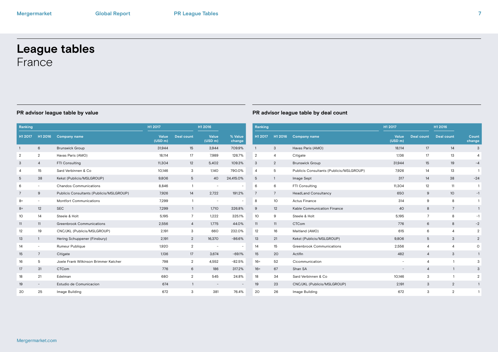# **League tables** France

| Ranking        |                          |                                          | H1 2017          |                   | H1 2016                  |                          | Ranking        |                 |              |
|----------------|--------------------------|------------------------------------------|------------------|-------------------|--------------------------|--------------------------|----------------|-----------------|--------------|
| H1 2017        | H1 2016                  | <b>Company name</b>                      | Value<br>(USD m) | <b>Deal count</b> | Value<br>(USD m)         | % Value<br>change        | H1 2017        | H1 2016         | Com          |
| $\mathbf{1}$   | 6                        | <b>Brunswick Group</b>                   | 31,944           | 15                | 3,944                    | 709.9%                   | $\mathbf{1}$   | 3               | Hava         |
| $\overline{2}$ | $\overline{2}$           | Havas Paris (AMO)                        | 18,114           | 17                | 7,989                    | 126.7%                   | $\overline{2}$ | 4               | Citig        |
| 3              | 4                        | FTI Consulting                           | 11,304           | 12                | 5,402                    | 109.3%                   | 3              | $\overline{2}$  | <b>Bruns</b> |
| 4              | 15                       | Sard Verbinnen & Co.                     | 10,146           | 3                 | 1,140                    | 790.0%                   | $\overline{4}$ | 5               | Publi        |
| 5              | 38                       | Kekst (Publicis/MSLGROUP)                | 9,806            | 5                 | 40                       | 24,415.0%                | 5              | $\mathbf{1}$    | Imag         |
| 6              | $\overline{\phantom{a}}$ | <b>Chandos Communications</b>            | 8,846            | $\overline{1}$    | $\overline{\phantom{a}}$ | $\overline{\phantom{a}}$ | 6              | 6               | FTI C        |
| $\overline{7}$ | 9                        | Publicis Consultants (Publicis/MSLGROUP) | 7,926            | 14                | 2,722                    | 191.2%                   | $\overline{7}$ | $7\overline{ }$ | Head         |
| $8=$           | $\overline{\phantom{a}}$ | <b>Montfort Communications</b>           | 7,299            | $\overline{1}$    | $\overline{\phantom{a}}$ |                          | 8              | 10              | Actus        |
| $8=$           | 12                       | <b>SEC</b>                               | 7,299            | $\overline{1}$    | 1,710                    | 326.8%                   | 9              | 12              | Kable        |
| 10             | 14                       | Steele & Holt                            | 5,195            | $\overline{7}$    | 1,222                    | 325.1%                   | 10             | 9               | Steel        |
| 11             | 11                       | <b>Greenbrook Communications</b>         | 2,556            | 4                 | 1,775                    | 44.0%                    | 11             | 11              | <b>CTC</b>   |
| 12             | 19                       | CNC/JKL (Publicis/MSLGROUP)              | 2,191            | 3                 | 660                      | 232.0%                   | 12             | 16              | Maitl        |
| 13             | $\mathbf{1}$             | Hering Schuppener (Finsbury)             | 2,191            | $\overline{2}$    | 16,370                   | $-86.6%$                 | 13             | 21              | Kekst        |
| 14             | $\sim$                   | Rumeur Publique                          | 1,920            | $\overline{2}$    | $\overline{\phantom{a}}$ | $\sim$                   | 14             | 15              | Gree         |
| 15             | $7\overline{ }$          | Citigate                                 | 1,136            | 17                | 3,674                    | $-69.1%$                 | 15             | 20              | Actifi       |
| 16             | 5                        | Joele Frank Wilkinson Brimmer Katcher    | 798              | $\overline{2}$    | 4,552                    | $-82.5%$                 | $16 =$         | 52              | Cico         |
| 17             | 31                       | <b>CTCom</b>                             | 776              | 6                 | 186                      | 317.2%                   | $16 =$         | 67              | Shan         |
| 18             | 21                       | Edelman                                  | 680              | $\overline{2}$    | 545                      | 24.8%                    | 18             | 34              | Sard         |
| 19             | $\overline{\phantom{0}}$ | Estudio de Comunicacion                  | 674              | $\mathbf{1}$      | $\overline{\phantom{a}}$ |                          | 19             | 23              | CNC          |
| 20             | 25                       | Image Building                           | 672              | 3                 | 381                      | 76.4%                    | 20             | 26              | Imag         |
|                |                          |                                          |                  |                   |                          |                          |                |                 |              |

| Ranking        |                 |                                          | H1 2017          |                   | H1 2016           |                 |
|----------------|-----------------|------------------------------------------|------------------|-------------------|-------------------|-----------------|
| H1 2017        | H1 2016         | <b>Company name</b>                      | Value<br>(USD m) | <b>Deal count</b> | <b>Deal count</b> | Count<br>change |
| $\mathbf{1}$   | 3               | Havas Paris (AMO)                        | 18,114           | 17                | 14                | 3               |
| $\overline{2}$ | $\overline{4}$  | Citigate                                 | 1,136            | 17                | 13                | 4               |
| 3              | 2               | <b>Brunswick Group</b>                   | 31,944           | 15                | 19                | $-4$            |
| 4              | 5               | Publicis Consultants (Publicis/MSLGROUP) | 7.926            | 14                | 13                | $\mathbf{1}$    |
| 5              | $\mathbf{1}$    | Image Sept                               | 317              | 14                | 38                | $-24$           |
| 6              | 6               | FTI Consulting                           | 11,304           | 12                | 11                | 1               |
| $\overline{7}$ | $7\overline{ }$ | <b>HeadLand Consultancy</b>              | 650              | 9                 | 10                | $-1$            |
| 8              | 10              | Actus Finance                            | 314              | 9                 | 8                 | 1               |
| 9              | 12              | Kable Communication Finance              | 40               | 8                 | 7                 | $\mathbf{1}$    |
| 10             | 9               | Steele & Holt                            | 5,195            | $7\overline{ }$   | 8                 | $-1$            |
| 11             | 11              | <b>CTCom</b>                             | 776              | 6                 | 8                 | $-2$            |
| 12             | 16              | Maitland (AMO)                           | 615              | 6                 | 4                 | $\overline{2}$  |
| 13             | 21              | Kekst (Publicis/MSLGROUP)                | 9,806            | 5                 | 3                 | 2               |
| 14             | 15              | Greenbrook Communications                | 2,556            | $\overline{4}$    | $\overline{4}$    | $\circ$         |
| 15             | 20              | Actifin                                  | 482              | $\overline{4}$    | 3                 | $\mathbf{1}$    |
| $16 =$         | 52              | Cicommunication                          | ٠                | $\overline{a}$    | $\mathbf{1}$      | 3               |
| $16 =$         | 67              | Shan SA                                  | ÷                | $\overline{4}$    | $\mathbf{1}$      | 3               |
| 18             | 34              | Sard Verbinnen & Co.                     | 10,146           | 3                 | $\mathbf{1}$      | $\overline{2}$  |
| 19             | 23              | CNC/JKL (Publicis/MSLGROUP)              | 2,191            | 3                 | $\overline{2}$    | $\mathbf{1}$    |
| 20             | 26              | Image Building                           | 672              | 3                 | $\overline{2}$    | 1               |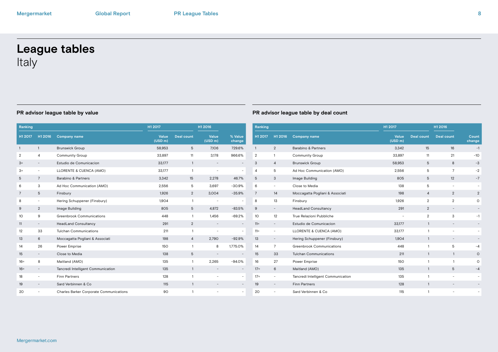# **League tables** Italy

| Ranking        |                          | H1 2017                                 |                  | H1 2016           |                          | Ranking                  |                 |                          |
|----------------|--------------------------|-----------------------------------------|------------------|-------------------|--------------------------|--------------------------|-----------------|--------------------------|
| H1 2017        | H1 2016                  | <b>Company name</b>                     | Value<br>(USD m) | <b>Deal count</b> | Value<br>(USD m)         | % Value<br>change        | H1 2017         | H1 2016                  |
| $\mathbf{1}$   | $\mathbf{1}$             | <b>Brunswick Group</b>                  | 58,953           | 5                 | 7,106                    | 729.6%                   | $\mathbf{1}$    | $\overline{2}$           |
| $\overline{2}$ | 4                        | Community Group                         | 33,897           | 11                | 3,178                    | 966.6%                   | $\overline{2}$  | $\mathbf{1}$             |
| $3=$           | $\overline{\phantom{a}}$ | Estudio de Comunicacion                 | 33,177           | $\mathbf{1}$      | $\overline{\phantom{a}}$ |                          | 3               | 4                        |
| $3=$           | $\overline{\phantom{0}}$ | LLORENTE & CUENCA (AMO)                 | 33,177           | $\mathbf{1}$      | $\overline{\phantom{a}}$ | $\overline{\phantom{a}}$ | $\overline{4}$  | 5                        |
| 5              | $\overline{7}$           | Barabino & Partners                     | 3,342            | 15                | 2,278                    | 46.7%                    | 5               | 3                        |
| 6              | 3                        | Ad Hoc Communication (AMO)              | 2,556            | 5                 | 3,697                    | $-30.9%$                 | 6               | $\overline{\phantom{a}}$ |
| $\overline{7}$ | 5                        | Finsbury                                | 1,926            | $\overline{2}$    | 3,004                    | $-35.9%$                 | $\overline{7}$  | 14                       |
| 8              | -                        | Hering Schuppener (Finsbury)            | 1,904            | $\mathbf{1}$      | $\overline{\phantom{a}}$ |                          | 8               | 13                       |
| 9              | $\overline{2}$           | Image Building                          | 805              | 5                 | 4,872                    | $-83.5%$                 | 9               | $\overline{\phantom{a}}$ |
| 10             | 9                        | Greenbrook Communications               | 448              | $\mathbf{1}$      | 1,456                    | $-69.2%$                 | 10 <sup>°</sup> | 12                       |
| 11             | $\overline{\phantom{a}}$ | HeadLand Consultancy                    | 291              | $\overline{2}$    | $\overline{\phantom{a}}$ | $\overline{\phantom{a}}$ | $11 =$          | $\overline{\phantom{a}}$ |
| 12             | 33                       | Tulchan Communications                  | 211              | $\mathbf{1}$      | $\overline{\phantom{a}}$ | $\overline{\phantom{a}}$ | $11 =$          | $\overline{\phantom{a}}$ |
| 13             | 6                        | Moccagatta Pogliani & Associati         | 198              | 4                 | 2,790                    | $-92.9%$                 | 13              | $\overline{\phantom{a}}$ |
| 14             | 26                       | Power Emprise                           | 150              | $\mathbf{1}$      | 8                        | 1,775.0%                 | 14              | $\overline{7}$           |
| 15             | $\overline{\phantom{0}}$ | Close to Media                          | 138              | 5                 | $\overline{\phantom{a}}$ |                          | 15              | 33                       |
| $16 =$         | 8                        | Maitland (AMO)                          | 135              | $\mathbf{1}$      | 2,265                    | $-94.0%$                 | 16              | 27                       |
| $16 =$         | $\overline{\phantom{0}}$ | Tancredi Intelligent Communication      | 135              | $\mathbf{1}$      | $\overline{\phantom{a}}$ | $\overline{\phantom{a}}$ | $17=$           | 6                        |
| 18             | $\overline{\phantom{0}}$ | <b>Finn Partners</b>                    | 128              | $\mathbf{1}$      | $\overline{\phantom{a}}$ | $\sim$                   | $17 =$          | $\overline{\phantom{a}}$ |
| 19             | $\overline{\phantom{a}}$ | Sard Verbinnen & Co                     | 115              | $\mathbf{1}$      | $\overline{\phantom{a}}$ |                          | 19              | ٠                        |
| 20             | $\overline{\phantom{a}}$ | Charles Barker Corporate Communications | 90               | $\mathbf{1}$      | $\overline{\phantom{a}}$ | $\sim$                   | 20              |                          |

| Ranking |                          |                                    | H1 2017          |                   | H1 2016                  |                 |  |
|---------|--------------------------|------------------------------------|------------------|-------------------|--------------------------|-----------------|--|
| H1 2017 | H1 2016                  | <b>Company name</b>                | Value<br>(USD m) | <b>Deal count</b> | <b>Deal count</b>        | Count<br>change |  |
| 1       | $\mathbf{2}$             | Barabino & Partners                | 3,342            | 15                | 16                       | $-1$            |  |
| 2       | 1                        | Community Group                    | 33,897           | 11                | 21                       | $-10$           |  |
| 3       | 4                        | <b>Brunswick Group</b>             | 58,953           | 5                 | 8                        | $-3$            |  |
| 4       | 5                        | Ad Hoc Communication (AMO)         | 2,556            | 5                 | $\overline{7}$           | $-2$            |  |
| 5       | 3                        | Image Building                     | 805              | 5                 | 12                       | $-7$            |  |
| 6       | $\bar{ }$                | Close to Media                     | 138              | 5                 | $\overline{\phantom{a}}$ |                 |  |
| 7       | 14                       | Moccagatta Pogliani & Associati    | 198              | $\overline{4}$    | 2                        | $\overline{2}$  |  |
| 8       | 13                       | Finsbury                           | 1,926            | $\overline{2}$    | $\overline{2}$           | O               |  |
| 9       | $\overline{\phantom{0}}$ | HeadLand Consultancy               | 291              | 2                 |                          |                 |  |
| 10      | 12                       | True Relazioni Pubbliche           |                  | $\overline{2}$    | 3                        | $-1$            |  |
| $11 =$  | $\overline{\phantom{0}}$ | Estudio de Comunicacion            | 33,177           | $\mathbf{1}$      | $\overline{\phantom{a}}$ |                 |  |
| $11 =$  | $\overline{\phantom{0}}$ | LLORENTE & CUENCA (AMO)            | 33,177           | 1                 | ٠                        |                 |  |
| 13      | $\qquad \qquad -$        | Hering Schuppener (Finsbury)       | 1,904            | $\mathbf{1}$      | $\overline{\phantom{a}}$ |                 |  |
| 14      | 7                        | Greenbrook Communications          | 448              | 1                 | 5                        | $-4$            |  |
| 15      | 33                       | <b>Tulchan Communications</b>      | 211              | $\mathbf{1}$      | $\mathbf{1}$             | O               |  |
| 16      | 27                       | Power Emprise                      | 150              | $\mathbf{1}$      | $\mathbf{1}$             | $\circ$         |  |
| $17 =$  | 6                        | Maitland (AMO)                     | 135              | $\mathbf{1}$      | 5                        | $-4$            |  |
| $17 =$  | -                        | Tancredi Intelligent Communication | 135              | $\mathbf{1}$      | $\overline{\phantom{a}}$ |                 |  |
| 19      |                          | <b>Finn Partners</b>               | 128              | $\mathbf{1}$      |                          |                 |  |
| 20      |                          | Sard Verbinnen & Co.               | 115              | $\mathbf{1}$      |                          |                 |  |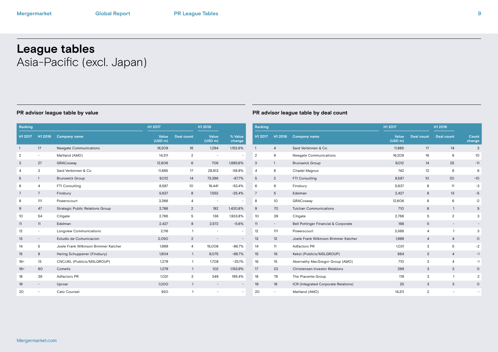# **League tables** Asia-Pacific (excl. Japan)

| Ranking         |                          |                                       | H1 2017          |                   | H1 2016                  |                          | Ranking         |                          |                |  |
|-----------------|--------------------------|---------------------------------------|------------------|-------------------|--------------------------|--------------------------|-----------------|--------------------------|----------------|--|
| H1 2017         | H1 2016                  | <b>Company name</b>                   | Value<br>(USD m) | <b>Deal count</b> | Value<br>(USD m)         | % Value<br>change        | H1 2017         | H1 2016                  | <b>C</b>       |  |
| $\mathbf{1}$    | 17                       | Newgate Communications                | 16,209           | 16                | 1,294                    | 1,152.6%                 | $\mathbf{1}$    | $\overline{4}$           | $S_6$          |  |
| $\overline{2}$  | $\overline{\phantom{a}}$ | Maitland (AMO)                        | 14,311           | $\overline{2}$    |                          |                          | $\overline{2}$  | 9                        | N <sub>6</sub> |  |
| 3               | 27                       | GRACosway                             | 12,606           | 6                 | 706                      | 1,685.6%                 | 3               | $\mathbf{1}$             | Br             |  |
| 4               | 3                        | Sard Verbinnen & Co                   | 11,885           | 17                | 28,813                   | $-58.8%$                 | $\overline{a}$  | 8                        | Ci             |  |
| 5               | $\mathbf{1}$             | <b>Brunswick Group</b>                | 9,012            | 14                | 73,396                   | $-87.7%$                 | $\mathbf 5$     | $\overline{2}$           | F1             |  |
| 6               | 4                        | FTI Consulting                        | 8,587            | 10 <sup>°</sup>   | 18,441                   | $-53.4%$                 | 6               | 6                        | Fi             |  |
| $7\overline{ }$ | $7\overline{ }$          | Finsbury                              | 5,637            | 8                 | 7,552                    | $-25.4%$                 | $\overline{7}$  | 5                        | Eo             |  |
| 8               | 111                      | Powerscourt                           | 3,366            | 4                 | $\overline{\phantom{a}}$ | $\bar{ }$                | 8               | 10                       | G              |  |
| 9               | 47                       | Strategic Public Relations Group      | 2,786            | $\overline{2}$    | 182                      | 1,430.8%                 | 9               | 70                       | Tu             |  |
| 10              | 54                       | Citigate                              | 2,766            | 5                 | 136                      | 1,933.8%                 | 10 <sup>°</sup> | 39                       | Ci             |  |
| 11              | 11                       | Edelman                               | 2,427            | 8                 | 2,572                    | $-5.6%$                  | 11              | $\overline{\phantom{a}}$ | B <sub>6</sub> |  |
| 12              | ٠                        | Longview Communications               | 2,116            | $\mathbf{1}$      | ٠                        | $\overline{\phantom{a}}$ | 12              | 111                      | P <sub>0</sub> |  |
| 13              | $\overline{\phantom{0}}$ | Estudio de Comunicacion               | 2,050            | $\overline{2}$    |                          |                          | 13              | 12                       | Jo             |  |
| 14              | 5                        | Joele Frank Wilkinson Brimmer Katcher | 1,989            | 4                 | 15,008                   | $-86.7%$                 | 14              | 11                       | A              |  |
| 15              | 8                        | Hering Schuppener (Finsbury)          | 1.904            | $\mathbf{1}$      | 6,075                    | $-68.7%$                 | 15              | 16                       | Kε             |  |
| $16 =$          | 13                       | CNC/JKL (Publicis/MSLGROUP)           | 1.279            | $\mathbf{1}$      | 1,708                    | $-25.1%$                 | 16              | 15                       | Al             |  |
| $16 =$          | 60                       | Cometis                               | 1,279            | $\mathbf{1}$      | 102                      | 1,153.9%                 | 17              | 23                       | $\mathsf{C}$   |  |
| 18              | 36                       | Adfactors PR                          | 1,031            | 3                 | 349                      | 195.4%                   | 18              | 78                       | Th             |  |
| 19              | $\overline{\phantom{0}}$ | Uproar                                | 1,000            | $\mathbf{1}$      |                          |                          | 19              | 18                       | IC             |  |
| 20              | $\equiv$                 | Cato Counsel                          | 930              | $\mathbf{1}$      | $\overline{\phantom{a}}$ | $\overline{\phantom{0}}$ | 20              | $\overline{\phantom{a}}$ | M              |  |
|                 |                          |                                       |                  |                   |                          |                          |                 |                          |                |  |

| Ranking |                          |                                       |                  |                   | H1 2016           |                          |  |
|---------|--------------------------|---------------------------------------|------------------|-------------------|-------------------|--------------------------|--|
| H1 2017 | H1 2016                  | <b>Company name</b>                   | Value<br>(USD m) | <b>Deal count</b> | <b>Deal count</b> | Count<br>change          |  |
| 1       | $\overline{4}$           | Sard Verbinnen & Co.                  | 11,885           | 17                | 14                | 3                        |  |
| 2       | 9                        | Newgate Communications                | 16,209           | 16                | 6                 | 10                       |  |
| 3       | $\mathbf{1}$             | <b>Brunswick Group</b>                | 9,012            | 14                | 25                | $-11$                    |  |
| 4       | 8                        | Citadel Magnus                        | 742              | 12                | 6                 | 6                        |  |
| 5       | $\overline{2}$           | FTI Consulting                        | 8,587            | 10                | 20                | $-10$                    |  |
| 6       | 6                        | Finsbury                              | 5,637            | 8                 | 11                | $-3$                     |  |
| 7       | 5                        | Edelman                               | 2,427            | 8                 | 13                | $-5$                     |  |
| 8       | 10                       | GRACosway                             | 12,606           | 6                 | 6                 | O                        |  |
| 9       | 70                       | <b>Tulchan Communications</b>         | 710              | 6                 | $\mathbf{1}$      | 5                        |  |
| 10      | 39                       | Citigate                              | 2,766            | 5                 | $\overline{2}$    | 3                        |  |
| 11      | $\overline{\phantom{0}}$ | Bell Pottinger Financial & Corporate  | 168              | 5                 |                   |                          |  |
| 12      | 111                      | Powerscourt                           | 3,366            | $\overline{4}$    | $\mathbf{1}$      | 3                        |  |
| 13      | 12                       | Joele Frank Wilkinson Brimmer Katcher | 1,989            | 4                 | 4                 | O                        |  |
| 14      | 11                       | Adfactors PR                          | 1,031            | 3                 | 5                 | $-2$                     |  |
| 15      | 16                       | Kekst (Publicis/MSLGROUP)             | 864              | 3                 | $\overline{4}$    | $-1$                     |  |
| 16      | 15                       | Abernathy MacGregor Group (AMO)       | 710              | 3                 | 4                 | $-1$                     |  |
| 17      | 23                       | <b>Christensen Investor Relations</b> | 299              | 3                 | 3                 | $\circ$                  |  |
| 18      | 78                       | The Piacente Group                    | 119              | 3                 | $\mathbf{1}$      | 2                        |  |
| 19      | 18                       | ICR (Integrated Corporate Relations)  | 25               | 3                 | 3                 | $\circ$                  |  |
| 20      | $\overline{\phantom{0}}$ | Maitland (AMO)                        | 14,311           | $\overline{2}$    | $\bar{ }$         | $\overline{\phantom{a}}$ |  |
|         |                          |                                       |                  |                   |                   |                          |  |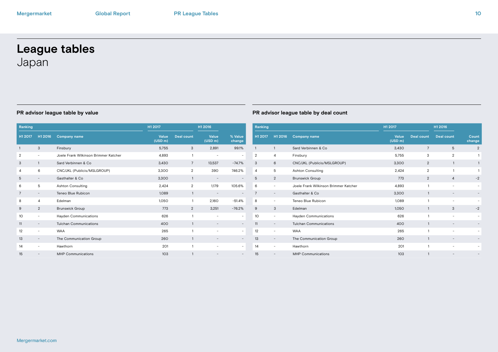# **League tables** Japan

| Ranking        |                          |                                       | H1 2017          |                   | H1 2016                  |                          | Ranking        |  |  |  |
|----------------|--------------------------|---------------------------------------|------------------|-------------------|--------------------------|--------------------------|----------------|--|--|--|
| H1 2017        | H1 2016                  | <b>Company name</b>                   | Value<br>(USD m) | <b>Deal count</b> | Value<br>(USD m)         | % Value<br>change        | H1 2017        |  |  |  |
| $\mathbf{1}$   | 3                        | Finsbury                              | 5,755            | 3                 | 2,891                    | 99.1%                    | $\mathbf{1}$   |  |  |  |
| $\overline{2}$ | $\sim$                   | Joele Frank Wilkinson Brimmer Katcher | 4,893            | $\mathbf{1}$      | $\overline{\phantom{a}}$ | $\overline{\phantom{a}}$ | $\overline{2}$ |  |  |  |
| 3              | $\mathbf{1}$             | Sard Verbinnen & Co.                  | 3,430            | $\overline{7}$    | 13,537                   | $-74.7%$                 | 3              |  |  |  |
| 4              | 6                        | CNC/JKL (Publicis/MSLGROUP)           | 3.300            | $\overline{2}$    | 390                      | 746.2%                   | $\overline{4}$ |  |  |  |
| 5              | $\overline{\phantom{a}}$ | Gasthalter & Co.                      | 3.300            | $\mathbf{1}$      | $\overline{\phantom{a}}$ | $\overline{\phantom{a}}$ | 5              |  |  |  |
| 6              | 5                        | <b>Ashton Consulting</b>              | 2.424            | $\overline{2}$    | 1.179                    | 105.6%                   | 6              |  |  |  |
| $\overline{7}$ | $\qquad \qquad -$        | Teneo Blue Rubicon                    | 1,089            | $\mathbf{1}$      | $\overline{\phantom{a}}$ |                          | $\overline{7}$ |  |  |  |
| 8              | 4                        | Edelman                               | 1,050            | $\mathbf{1}$      | 2,160                    | $-51.4%$                 | 8              |  |  |  |
| 9              | $\overline{2}$           | <b>Brunswick Group</b>                | 773              | 2                 | 3,251                    | $-76.2%$                 | 9              |  |  |  |
| 10             | $\overline{\phantom{a}}$ | Hayden Communications                 | 626              | $\mathbf{1}$      | $\overline{\phantom{a}}$ | $\overline{\phantom{a}}$ | 10             |  |  |  |
| 11             | $\overline{\phantom{a}}$ | <b>Tulchan Communications</b>         | 400              | $\mathbf{1}$      | $\overline{\phantom{a}}$ | $\qquad \qquad -$        | 11             |  |  |  |
| 12             | $\overline{\phantom{a}}$ | <b>WAA</b>                            | 265              | $\mathbf{1}$      | $\overline{\phantom{a}}$ | $\overline{\phantom{a}}$ | 12             |  |  |  |
| 13             | $\overline{\phantom{a}}$ | The Communication Group               | 260              | $\mathbf{1}$      |                          | $\overline{\phantom{a}}$ | 13             |  |  |  |
| 14             | $\overline{\phantom{a}}$ | Hawthorn                              | 201              | 1                 | ٠                        | $\overline{\phantom{a}}$ | 14             |  |  |  |
| 15             |                          | <b>MHP Communications</b>             | 103              | 1                 |                          |                          | 15             |  |  |  |

| Ranking |                          |                                       | H1 2017                      |                 | H1 2016                  |                          |
|---------|--------------------------|---------------------------------------|------------------------------|-----------------|--------------------------|--------------------------|
| H1 2017 | H1 2016                  | <b>Company name</b>                   | Value<br>(USD <sub>m</sub> ) | Deal count      | Deal count               | Count<br>change          |
| 1       | $\mathbf{1}$             | Sard Verbinnen & Co.                  | 3,430                        | $7\overline{ }$ | 5                        | $\overline{2}$           |
| 2       | 4                        | Finsbury                              | 5,755                        | 3               | $\overline{2}$           | 1                        |
| 3       | 6                        | CNC/JKL (Publicis/MSLGROUP)           | 3,300                        | 2               | $\mathbf{1}$             | $\mathbf{1}$             |
| 4       | 5                        | <b>Ashton Consulting</b>              | 2,424                        | $\overline{2}$  | 1                        | $\mathbf{1}$             |
| 5       | $\overline{2}$           | <b>Brunswick Group</b>                | 773                          | 2               | 4                        | $-2$                     |
| 6       | $\overline{\phantom{a}}$ | Joele Frank Wilkinson Brimmer Katcher | 4,893                        | 1               | $\overline{\phantom{a}}$ |                          |
| 7       | $\qquad \qquad =$        | Gasthalter & Co.                      | 3,300                        | 1               | $\qquad \qquad -$        |                          |
| 8       | ۰                        | Teneo Blue Rubicon                    | 1,089                        | 1               | -                        |                          |
| 9       | 3                        | Edelman                               | 1,050                        | $\mathbf{1}$    | 3                        | $-2$                     |
| 10      | ۰                        | Hayden Communications                 | 626                          | 1               | ۰                        |                          |
| 11      |                          | <b>Tulchan Communications</b>         | 400                          | $\mathbf{1}$    |                          |                          |
| 12      | $\overline{\phantom{a}}$ | <b>WAA</b>                            | 265                          | 1               | $\overline{\phantom{a}}$ | $\overline{\phantom{a}}$ |
| 13      | $\overline{\phantom{0}}$ | The Communication Group               | 260                          | $\mathbf{1}$    |                          |                          |
| 14      | ۰                        | Hawthorn                              | 201                          | 1               | ۰                        | $\overline{\phantom{0}}$ |
| 15      |                          | <b>MHP Communications</b>             | 103                          | 1               |                          |                          |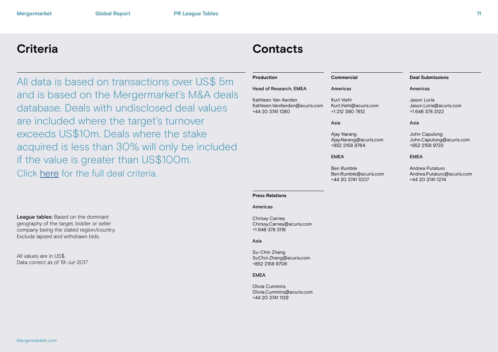All data is based on transactions over US\$ 5m and is based on the Mergermarket's M&A deals database. Deals with undisclosed deal values are included where the target's turnover exceeds US\$10m. Deals where the stake acquired is less than 30% will only be included if the value is greater than US\$100m. Click [here](http://www.mergermarket.com/pdf/deal_criteria.pdf) for the full deal criteria.

# **Criteria Contacts**

| Production                                                               | Commercial                                                     | <b>Deal Submissions</b>                                           |
|--------------------------------------------------------------------------|----------------------------------------------------------------|-------------------------------------------------------------------|
| Head of Research, EMEA                                                   | Americas                                                       | Americas                                                          |
| Kathleen Van Aerden<br>Kathleen.VanAerden@acuris.com<br>+44 20 3741 1280 | Kurt Viehl<br>Kurt.Viehl@acuris.com<br>+1 212 390 7812         | Jason Loria<br>Jason.Loria@acuris.com<br>+1 646 378 3122          |
|                                                                          | Asia                                                           | Asia                                                              |
|                                                                          | Ajay Narang<br>Ajay.Narang@acuris.com<br>+852 2158 9764        | John Capulong<br>John.Capulong@acuris.com<br>+852 2158 9723       |
|                                                                          | <b>EMEA</b>                                                    | <b>EMEA</b>                                                       |
|                                                                          | <b>Ben Rumble</b><br>Ben.Rumble@acuris.com<br>+44 20 3741 1007 | Andrea Putaturo<br>Andrea.Putaturo@acuris.com<br>+44 20 3741 1274 |

### **Press Relations**

### Americas

Chrissy Carney Chrissy.Carney@acuris.com +1 646 378 3118

### Asia

Su-Chin Zhang SuChin.Zhang@acuris.com +852 2158 9706

### EMEA

Olivia Cummins Olivia.Cummins@acuris.com +44 20 3741 1129

League tables: Based on the dominant geography of the target, bidder or seller company being the stated region/country. Exclude lapsed and withdrawn bids.

All values are in US\$. Data correct as of 19-Jul-2017